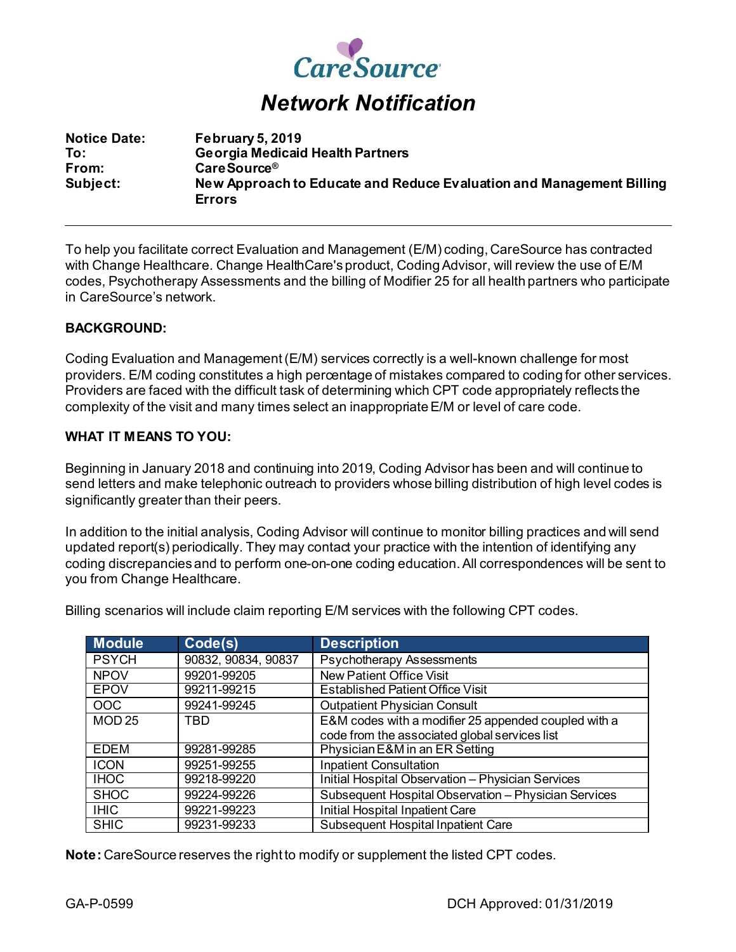

## *Network Notification*

| <b>Notice Date:</b> | <b>February 5, 2019</b>                                              |
|---------------------|----------------------------------------------------------------------|
| To:                 | <b>Georgia Medicaid Health Partners</b>                              |
| From:               | Care Source <sup>®</sup>                                             |
| Subject:            | New Approach to Educate and Reduce Evaluation and Management Billing |
|                     | <b>Errors</b>                                                        |

To help you facilitate correct Evaluation and Management (E/M) coding, CareSource has contracted with Change Healthcare. Change HealthCare's product, Coding Advisor, will review the use of E/M codes, Psychotherapy Assessments and the billing of Modifier 25 for all health partners who participate in CareSource's network.

## **BACKGROUND:**

Coding Evaluation and Management (E/M) services correctly is a well-known challenge for most providers. E/M coding constitutes a high percentage of mistakes compared to coding for other services. Providers are faced with the difficult task of determining which CPT code appropriately reflects the complexity of the visit and many times select an inappropriateE/M or level of care code.

## **WHAT IT MEANS TO YOU:**

Beginning in January 2018 and continuing into 2019, Coding Advisor has been and will continue to send letters and make telephonic outreach to providers whose billing distribution of high level codes is significantly greater than their peers.

In addition to the initial analysis, Coding Advisor will continue to monitor billing practices and will send updated report(s) periodically. They may contact your practice with the intention of identifying any coding discrepancies and to perform one-on-one coding education. All correspondences will be sent to you from Change Healthcare.

**Module Code(s) Description** PSYCH 90832, 90834, 90837 Psychotherapy Assessments NPOV 99201-99205 New Patient Office Visit<br>EPOV 99211-99215 Established Patient Office **Established Patient Office Visit** OOC 99241-99245 | Outpatient Physician Consult MOD 25 TBD E&M codes with a modifier 25 appended coupled with a code from the associated global services list EDEM 99281-99285 Physician E&M in an ER Setting ICON 99251-99255 Inpatient Consultation IHOC 99218-99220 Initial Hospital Observation – Physician Services SHOC 99224-99226 Subsequent Hospital Observation – Physician Services IHIC 99221-99223 Initial Hospital Inpatient Care SHIC 99231-99233 Subsequent Hospital Inpatient Care

Billing scenarios will include claim reporting E/M services with the following CPT codes.

**Note:** CareSource reserves the right to modify or supplement the listed CPT codes.